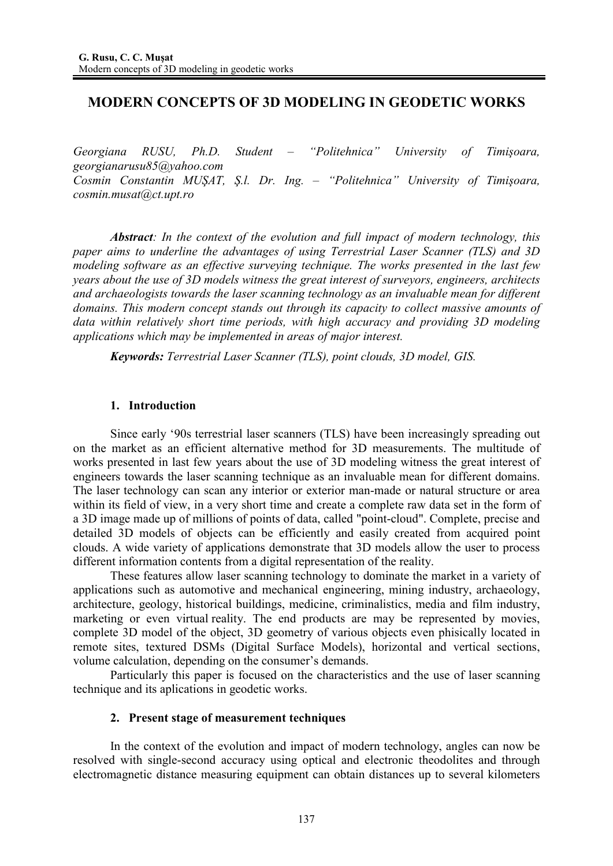# **MODERN CONCEPTS OF 3D MODELING IN GEODETIC WORKS**

*Georgiana RUSU, Ph.D. Student – "Politehnica" University of Timiúoara, georgianarusu85@yahoo.com Cosmin Constantin MUŞAT, S.l. Dr. Ing. – "Politehnica" University of Timișoara, cosmin.musat@ct.upt.ro*

*Abstract: In the context of the evolution and full impact of modern technology, this paper aims to underline the advantages of using Terrestrial Laser Scanner (TLS) and 3D modeling software as an effective surveying technique. The works presented in the last few years about the use of 3D models witness the great interest of surveyors, engineers, architects and archaeologists towards the laser scanning technology as an invaluable mean for different domains. This modern concept stands out through its capacity to collect massive amounts of data within relatively short time periods, with high accuracy and providing 3D modeling applications which may be implemented in areas of major interest.* 

*Keywords: Terrestrial Laser Scanner (TLS), point clouds, 3D model, GIS.* 

## **1. Introduction**

Since early '90s terrestrial laser scanners (TLS) have been increasingly spreading out on the market as an efficient alternative method for 3D measurements. The multitude of works presented in last few years about the use of 3D modeling witness the great interest of engineers towards the laser scanning technique as an invaluable mean for different domains. The laser technology can scan any interior or exterior man-made or natural structure or area within its field of view, in a very short time and create a complete raw data set in the form of a 3D image made up of millions of points of data, called "point-cloud". Complete, precise and detailed 3D models of objects can be efficiently and easily created from acquired point clouds. A wide variety of applications demonstrate that 3D models allow the user to process different information contents from a digital representation of the reality.

These features allow laser scanning technology to dominate the market in a variety of applications such as automotive and mechanical engineering, mining industry, archaeology, architecture, geology, historical buildings, medicine, criminalistics, media and film industry, marketing or even virtual reality. The end products are may be represented by movies, complete 3D model of the object, 3D geometry of various objects even phisically located in remote sites, textured DSMs (Digital Surface Models), horizontal and vertical sections, volume calculation, depending on the consumer's demands.

Particularly this paper is focused on the characteristics and the use of laser scanning technique and its aplications in geodetic works.

### **2. Present stage of measurement techniques**

In the context of the evolution and impact of modern technology, angles can now be resolved with single-second accuracy using optical and electronic theodolites and through electromagnetic distance measuring equipment can obtain distances up to several kilometers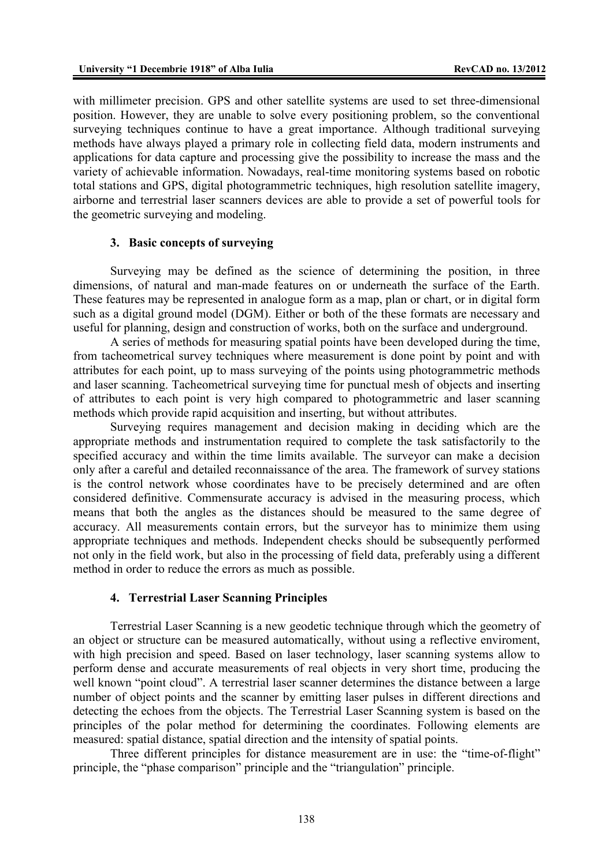with millimeter precision. GPS and other satellite systems are used to set three-dimensional position. However, they are unable to solve every positioning problem, so the conventional surveying techniques continue to have a great importance. Although traditional surveying methods have always played a primary role in collecting field data, modern instruments and applications for data capture and processing give the possibility to increase the mass and the variety of achievable information. Nowadays, real-time monitoring systems based on robotic total stations and GPS, digital photogrammetric techniques, high resolution satellite imagery, airborne and terrestrial laser scanners devices are able to provide a set of powerful tools for the geometric surveying and modeling.

### **3. Basic concepts of surveying**

Surveying may be defined as the science of determining the position, in three dimensions, of natural and man-made features on or underneath the surface of the Earth. These features may be represented in analogue form as a map, plan or chart, or in digital form such as a digital ground model (DGM). Either or both of the these formats are necessary and useful for planning, design and construction of works, both on the surface and underground.

A series of methods for measuring spatial points have been developed during the time, from tacheometrical survey techniques where measurement is done point by point and with attributes for each point, up to mass surveying of the points using photogrammetric methods and laser scanning. Tacheometrical surveying time for punctual mesh of objects and inserting of attributes to each point is very high compared to photogrammetric and laser scanning methods which provide rapid acquisition and inserting, but without attributes.

Surveying requires management and decision making in deciding which are the appropriate methods and instrumentation required to complete the task satisfactorily to the specified accuracy and within the time limits available. The surveyor can make a decision only after a careful and detailed reconnaissance of the area. The framework of survey stations is the control network whose coordinates have to be precisely determined and are often considered definitive. Commensurate accuracy is advised in the measuring process, which means that both the angles as the distances should be measured to the same degree of accuracy. All measurements contain errors, but the surveyor has to minimize them using appropriate techniques and methods. Independent checks should be subsequently performed not only in the field work, but also in the processing of field data, preferably using a different method in order to reduce the errors as much as possible.

#### **4. Terrestrial Laser Scanning Principles**

Terrestrial Laser Scanning is a new geodetic technique through which the geometry of an object or structure can be measured automatically, without using a reflective enviroment, with high precision and speed. Based on laser technology, laser scanning systems allow to perform dense and accurate measurements of real objects in very short time, producing the well known "point cloud". A terrestrial laser scanner determines the distance between a large number of object points and the scanner by emitting laser pulses in different directions and detecting the echoes from the objects. The Terrestrial Laser Scanning system is based on the principles of the polar method for determining the coordinates. Following elements are measured: spatial distance, spatial direction and the intensity of spatial points.

Three different principles for distance measurement are in use: the "time-of-flight" principle, the "phase comparison" principle and the "triangulation" principle.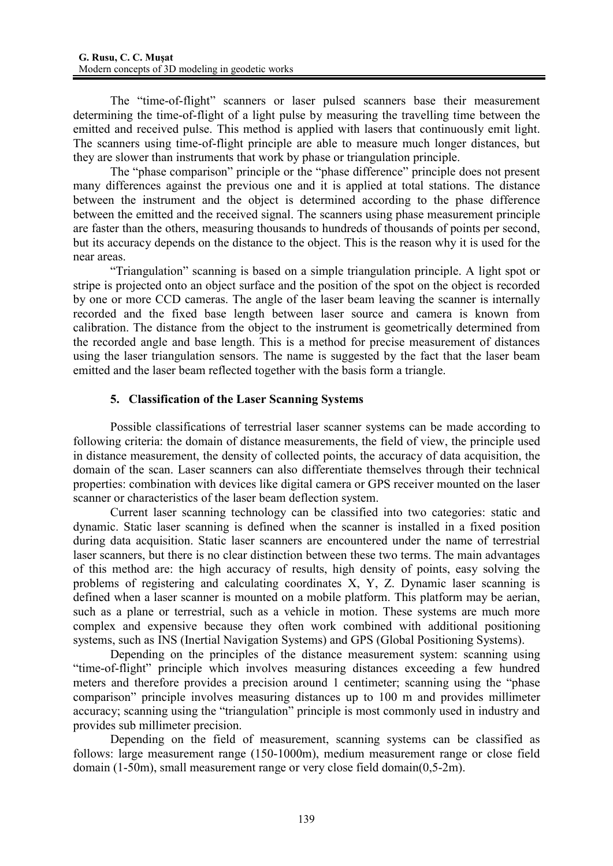The "time-of-flight" scanners or laser pulsed scanners base their measurement determining the time-of-flight of a light pulse by measuring the travelling time between the emitted and received pulse. This method is applied with lasers that continuously emit light. The scanners using time-of-flight principle are able to measure much longer distances, but they are slower than instruments that work by phase or triangulation principle.

The "phase comparison" principle or the "phase difference" principle does not present many differences against the previous one and it is applied at total stations. The distance between the instrument and the object is determined according to the phase difference between the emitted and the received signal. The scanners using phase measurement principle are faster than the others, measuring thousands to hundreds of thousands of points per second, but its accuracy depends on the distance to the object. This is the reason why it is used for the near areas.

"Triangulation" scanning is based on a simple triangulation principle. A light spot or stripe is projected onto an object surface and the position of the spot on the object is recorded by one or more CCD cameras. The angle of the laser beam leaving the scanner is internally recorded and the fixed base length between laser source and camera is known from calibration. The distance from the object to the instrument is geometrically determined from the recorded angle and base length. This is a method for precise measurement of distances using the laser triangulation sensors. The name is suggested by the fact that the laser beam emitted and the laser beam reflected together with the basis form a triangle.

# **5. Classification of the Laser Scanning Systems**

Possible classifications of terrestrial laser scanner systems can be made according to following criteria: the domain of distance measurements, the field of view, the principle used in distance measurement, the density of collected points, the accuracy of data acquisition, the domain of the scan. Laser scanners can also differentiate themselves through their technical properties: combination with devices like digital camera or GPS receiver mounted on the laser scanner or characteristics of the laser beam deflection system.

Current laser scanning technology can be classified into two categories: static and dynamic. Static laser scanning is defined when the scanner is installed in a fixed position during data acquisition. Static laser scanners are encountered under the name of terrestrial laser scanners, but there is no clear distinction between these two terms. The main advantages of this method are: the high accuracy of results, high density of points, easy solving the problems of registering and calculating coordinates X, Y, Z. Dynamic laser scanning is defined when a laser scanner is mounted on a mobile platform. This platform may be aerian, such as a plane or terrestrial, such as a vehicle in motion. These systems are much more complex and expensive because they often work combined with additional positioning systems, such as INS (Inertial Navigation Systems) and GPS (Global Positioning Systems).

Depending on the principles of the distance measurement system: scanning using "time-of-flight" principle which involves measuring distances exceeding a few hundred meters and therefore provides a precision around 1 centimeter; scanning using the "phase comparison" principle involves measuring distances up to 100 m and provides millimeter accuracy; scanning using the "triangulation" principle is most commonly used in industry and provides sub millimeter precision.

Depending on the field of measurement, scanning systems can be classified as follows: large measurement range (150-1000m), medium measurement range or close field domain (1-50m), small measurement range or very close field domain(0,5-2m).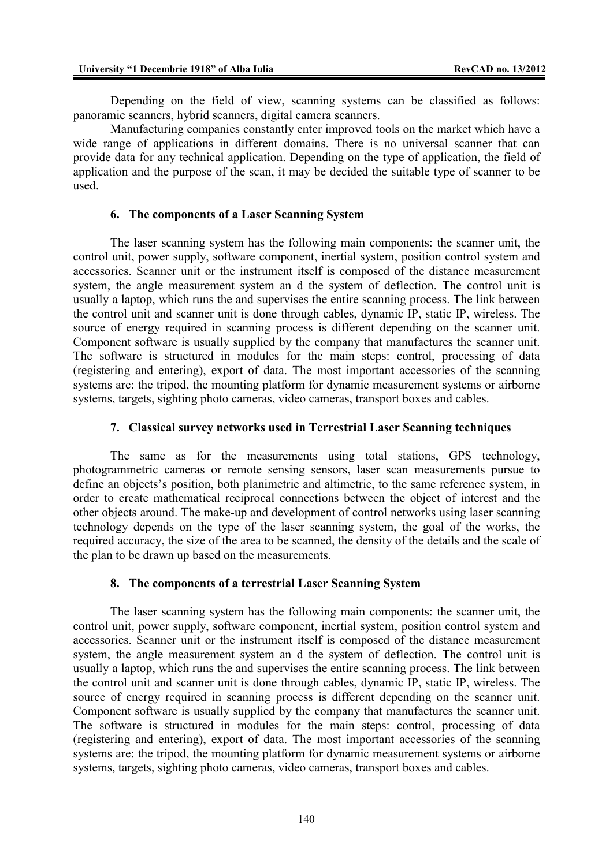Depending on the field of view, scanning systems can be classified as follows: panoramic scanners, hybrid scanners, digital camera scanners.

Manufacturing companies constantly enter improved tools on the market which have a wide range of applications in different domains. There is no universal scanner that can provide data for any technical application. Depending on the type of application, the field of application and the purpose of the scan, it may be decided the suitable type of scanner to be used.

### **6. The components of a Laser Scanning System**

The laser scanning system has the following main components: the scanner unit, the control unit, power supply, software component, inertial system, position control system and accessories. Scanner unit or the instrument itself is composed of the distance measurement system, the angle measurement system an d the system of deflection. The control unit is usually a laptop, which runs the and supervises the entire scanning process. The link between the control unit and scanner unit is done through cables, dynamic IP, static IP, wireless. The source of energy required in scanning process is different depending on the scanner unit. Component software is usually supplied by the company that manufactures the scanner unit. The software is structured in modules for the main steps: control, processing of data (registering and entering), export of data. The most important accessories of the scanning systems are: the tripod, the mounting platform for dynamic measurement systems or airborne systems, targets, sighting photo cameras, video cameras, transport boxes and cables.

## **7. Classical survey networks used in Terrestrial Laser Scanning techniques**

The same as for the measurements using total stations, GPS technology, photogrammetric cameras or remote sensing sensors, laser scan measurements pursue to define an objects's position, both planimetric and altimetric, to the same reference system, in order to create mathematical reciprocal connections between the object of interest and the other objects around. The make-up and development of control networks using laser scanning technology depends on the type of the laser scanning system, the goal of the works, the required accuracy, the size of the area to be scanned, the density of the details and the scale of the plan to be drawn up based on the measurements.

### **8. The components of a terrestrial Laser Scanning System**

The laser scanning system has the following main components: the scanner unit, the control unit, power supply, software component, inertial system, position control system and accessories. Scanner unit or the instrument itself is composed of the distance measurement system, the angle measurement system an d the system of deflection. The control unit is usually a laptop, which runs the and supervises the entire scanning process. The link between the control unit and scanner unit is done through cables, dynamic IP, static IP, wireless. The source of energy required in scanning process is different depending on the scanner unit. Component software is usually supplied by the company that manufactures the scanner unit. The software is structured in modules for the main steps: control, processing of data (registering and entering), export of data. The most important accessories of the scanning systems are: the tripod, the mounting platform for dynamic measurement systems or airborne systems, targets, sighting photo cameras, video cameras, transport boxes and cables.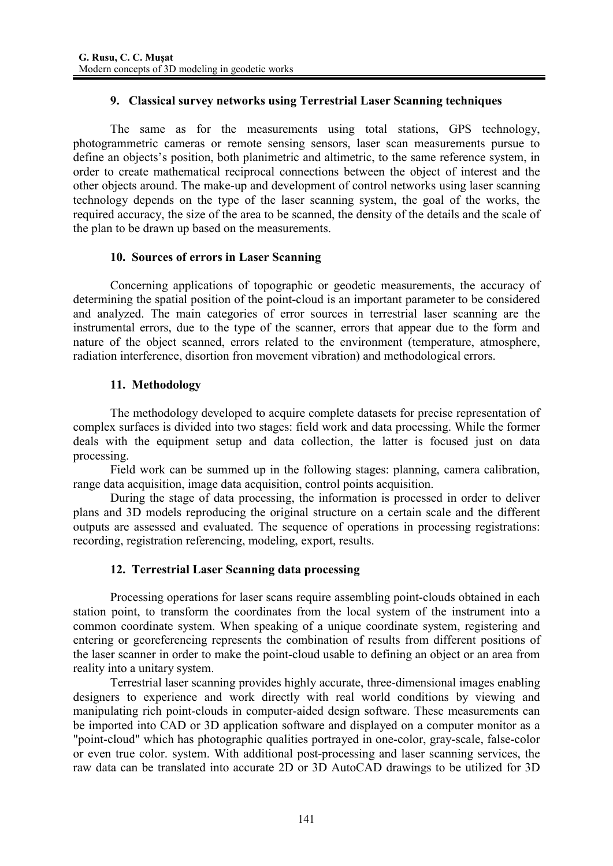# **9. Classical survey networks using Terrestrial Laser Scanning techniques**

The same as for the measurements using total stations, GPS technology, photogrammetric cameras or remote sensing sensors, laser scan measurements pursue to define an objects's position, both planimetric and altimetric, to the same reference system, in order to create mathematical reciprocal connections between the object of interest and the other objects around. The make-up and development of control networks using laser scanning technology depends on the type of the laser scanning system, the goal of the works, the required accuracy, the size of the area to be scanned, the density of the details and the scale of the plan to be drawn up based on the measurements.

# **10. Sources of errors in Laser Scanning**

Concerning applications of topographic or geodetic measurements, the accuracy of determining the spatial position of the point-cloud is an important parameter to be considered and analyzed. The main categories of error sources in terrestrial laser scanning are the instrumental errors, due to the type of the scanner, errors that appear due to the form and nature of the object scanned, errors related to the environment (temperature, atmosphere, radiation interference, disortion fron movement vibration) and methodological errors.

# **11. Methodology**

The methodology developed to acquire complete datasets for precise representation of complex surfaces is divided into two stages: field work and data processing. While the former deals with the equipment setup and data collection, the latter is focused just on data processing.

Field work can be summed up in the following stages: planning, camera calibration, range data acquisition, image data acquisition, control points acquisition.

During the stage of data processing, the information is processed in order to deliver plans and 3D models reproducing the original structure on a certain scale and the different outputs are assessed and evaluated. The sequence of operations in processing registrations: recording, registration referencing, modeling, export, results.

# **12. Terrestrial Laser Scanning data processing**

Processing operations for laser scans require assembling point-clouds obtained in each station point, to transform the coordinates from the local system of the instrument into a common coordinate system. When speaking of a unique coordinate system, registering and entering or georeferencing represents the combination of results from different positions of the laser scanner in order to make the point-cloud usable to defining an object or an area from reality into a unitary system.

Terrestrial laser scanning provides highly accurate, three-dimensional images enabling designers to experience and work directly with real world conditions by viewing and manipulating rich point-clouds in computer-aided design software. These measurements can be imported into CAD or 3D application software and displayed on a computer monitor as a "point-cloud" which has photographic qualities portrayed in one-color, gray-scale, false-color or even true color. system. With additional post-processing and laser scanning services, the raw data can be translated into accurate 2D or 3D AutoCAD drawings to be utilized for 3D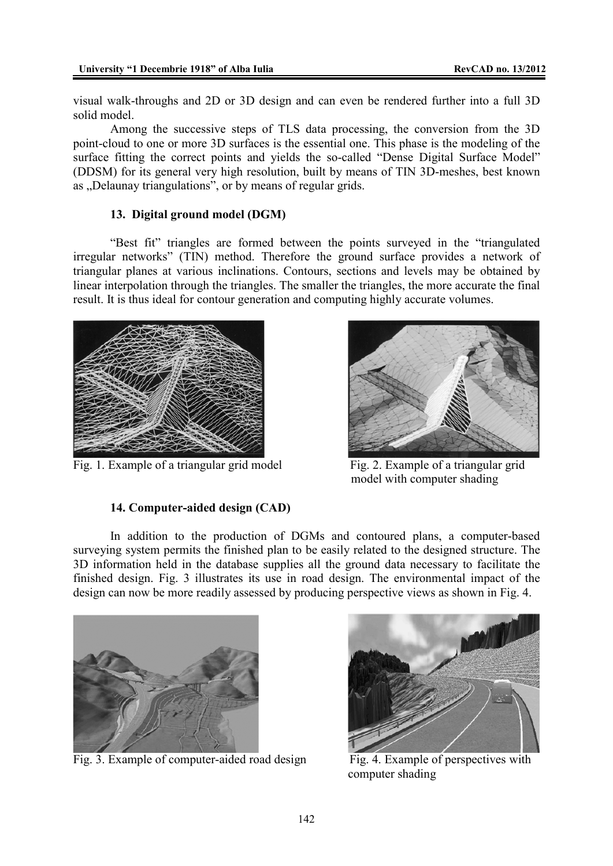visual walk-throughs and 2D or 3D design and can even be rendered further into a full 3D solid model.

Among the successive steps of TLS data processing, the conversion from the 3D point-cloud to one or more 3D surfaces is the essential one. This phase is the modeling of the surface fitting the correct points and yields the so-called "Dense Digital Surface Model" (DDSM) for its general very high resolution, built by means of TIN 3D-meshes, best known as . Delaunay triangulations", or by means of regular grids.

# **13. Digital ground model (DGM)**

"Best fit" triangles are formed between the points surveyed in the "triangulated irregular networks" (TIN) method. Therefore the ground surface provides a network of triangular planes at various inclinations. Contours, sections and levels may be obtained by linear interpolation through the triangles. The smaller the triangles, the more accurate the final result. It is thus ideal for contour generation and computing highly accurate volumes.



Fig. 1. Example of a triangular grid model Fig. 2. Example of a triangular grid

model with computer shading

# **14. Computer-aided design (CAD)**

In addition to the production of DGMs and contoured plans, a computer-based surveying system permits the finished plan to be easily related to the designed structure. The 3D information held in the database supplies all the ground data necessary to facilitate the finished design. Fig. 3 illustrates its use in road design. The environmental impact of the design can now be more readily assessed by producing perspective views as shown in Fig. 4.



Fig. 3. Example of computer-aided road design Fig. 4. Example of perspectives with



computer shading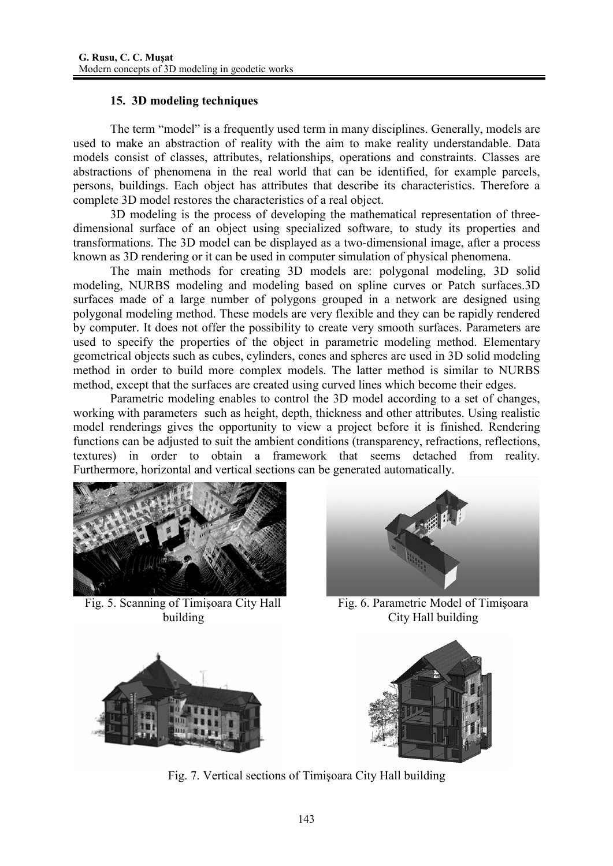# **15. 3D modeling techniques**

The term "model" is a frequently used term in many disciplines. Generally, models are used to make an abstraction of reality with the aim to make reality understandable. Data models consist of classes, attributes, relationships, operations and constraints. Classes are abstractions of phenomena in the real world that can be identified, for example parcels, persons, buildings. Each object has attributes that describe its characteristics. Therefore a complete 3D model restores the characteristics of a real object.

3D modeling is the process of developing the mathematical representation of threedimensional surface of an object using specialized software, to study its properties and transformations. The 3D model can be displayed as a two-dimensional image, after a process known as 3D rendering or it can be used in computer simulation of physical phenomena.

The main methods for creating 3D models are: polygonal modeling, 3D solid modeling, NURBS modeling and modeling based on spline curves or Patch surfaces.3D surfaces made of a large number of polygons grouped in a network are designed using polygonal modeling method. These models are very flexible and they can be rapidly rendered by computer. It does not offer the possibility to create very smooth surfaces. Parameters are used to specify the properties of the object in parametric modeling method. Elementary geometrical objects such as cubes, cylinders, cones and spheres are used in 3D solid modeling method in order to build more complex models. The latter method is similar to NURBS method, except that the surfaces are created using curved lines which become their edges.

Parametric modeling enables to control the 3D model according to a set of changes, working with parameters such as height, depth, thickness and other attributes. Using realistic model renderings gives the opportunity to view a project before it is finished. Rendering functions can be adjusted to suit the ambient conditions (transparency, refractions, reflections, textures) in order to obtain a framework that seems detached from reality. Furthermore, horizontal and vertical sections can be generated automatically.



Fig. 5. Scanning of Timișoara City Hall Fig. 6. Parametric Model of Timișoara



building City Hall building





Fig. 7. Vertical sections of Timisoara City Hall building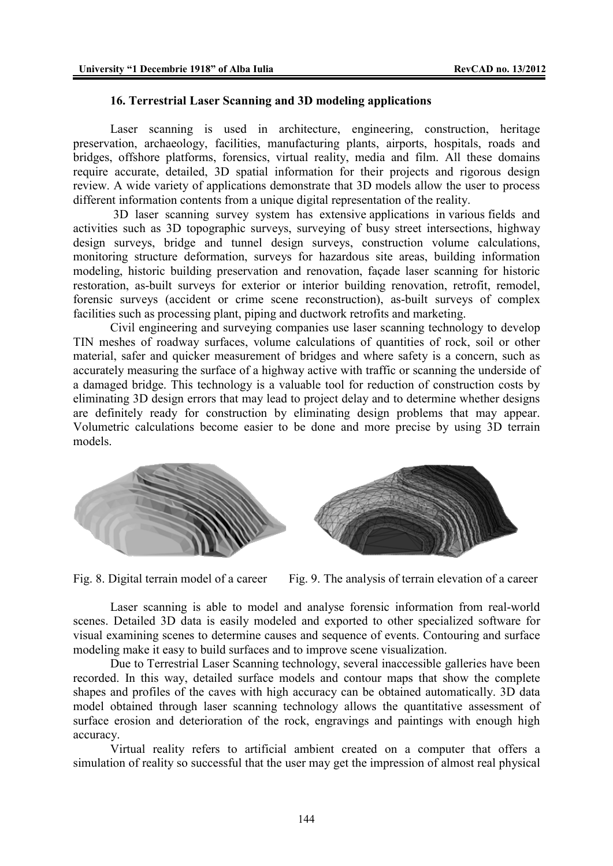## **16. Terrestrial Laser Scanning and 3D modeling applications**

Laser scanning is used in architecture, engineering, construction, heritage preservation, archaeology, facilities, manufacturing plants, airports, hospitals, roads and bridges, offshore platforms, forensics, virtual reality, media and film. All these domains require accurate, detailed, 3D spatial information for their projects and rigorous design review. A wide variety of applications demonstrate that 3D models allow the user to process different information contents from a unique digital representation of the reality.

 3D laser scanning survey system has extensive applications in various fields and activities such as 3D topographic surveys, surveying of busy street intersections, highway design surveys, bridge and tunnel design surveys, construction volume calculations, monitoring structure deformation, surveys for hazardous site areas, building information modeling, historic building preservation and renovation, façade laser scanning for historic restoration, as-built surveys for exterior or interior building renovation, retrofit, remodel, forensic surveys (accident or crime scene reconstruction), as-built surveys of complex facilities such as processing plant, piping and ductwork retrofits and marketing.

Civil engineering and surveying companies use laser scanning technology to develop TIN meshes of roadway surfaces, volume calculations of quantities of rock, soil or other material, safer and quicker measurement of bridges and where safety is a concern, such as accurately measuring the surface of a highway active with traffic or scanning the underside of a damaged bridge. This technology is a valuable tool for reduction of construction costs by eliminating 3D design errors that may lead to project delay and to determine whether designs are definitely ready for construction by eliminating design problems that may appear. Volumetric calculations become easier to be done and more precise by using 3D terrain models.



Fig. 8. Digital terrain model of a career Fig. 9. The analysis of terrain elevation of a career

Laser scanning is able to model and analyse forensic information from real-world scenes. Detailed 3D data is easily modeled and exported to other specialized software for visual examining scenes to determine causes and sequence of events. Contouring and surface modeling make it easy to build surfaces and to improve scene visualization.

Due to Terrestrial Laser Scanning technology, several inaccessible galleries have been recorded. In this way, detailed surface models and contour maps that show the complete shapes and profiles of the caves with high accuracy can be obtained automatically. 3D data model obtained through laser scanning technology allows the quantitative assessment of surface erosion and deterioration of the rock, engravings and paintings with enough high accuracy.

Virtual reality refers to artificial ambient created on a computer that offers a simulation of reality so successful that the user may get the impression of almost real physical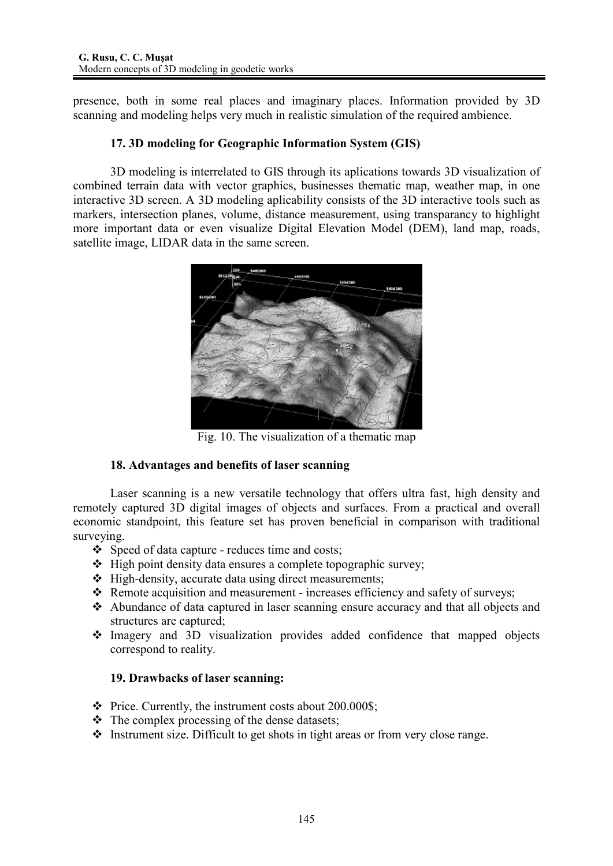presence, both in some real places and imaginary places. Information provided by 3D scanning and modeling helps very much in realistic simulation of the required ambience.

# **17. 3D modeling for Geographic Information System (GIS)**

3D modeling is interrelated to GIS through its aplications towards 3D visualization of combined terrain data with vector graphics, businesses thematic map, weather map, in one interactive 3D screen. A 3D modeling aplicability consists of the 3D interactive tools such as markers, intersection planes, volume, distance measurement, using transparancy to highlight more important data or even visualize Digital Elevation Model (DEM), land map, roads, satellite image, LIDAR data in the same screen.



Fig. 10. The visualization of a thematic map

# **18. Advantages and benefits of laser scanning**

Laser scanning is a new versatile technology that offers ultra fast, high density and remotely captured 3D digital images of objects and surfaces. From a practical and overall economic standpoint, this feature set has proven beneficial in comparison with traditional surveying.

- Speed of data capture reduces time and costs;
- $\triangle$  High point density data ensures a complete topographic survey;
- $\div$  High-density, accurate data using direct measurements;
- $\triangle$  Remote acquisition and measurement increases efficiency and safety of surveys;
- Abundance of data captured in laser scanning ensure accuracy and that all objects and structures are captured;
- Imagery and 3D visualization provides added confidence that mapped objects correspond to reality.

## **19. Drawbacks of laser scanning:**

- $\div$  Price. Currently, the instrument costs about 200.000\$;
- $\div$  The complex processing of the dense datasets;
- $\triangle$  Instrument size. Difficult to get shots in tight areas or from very close range.